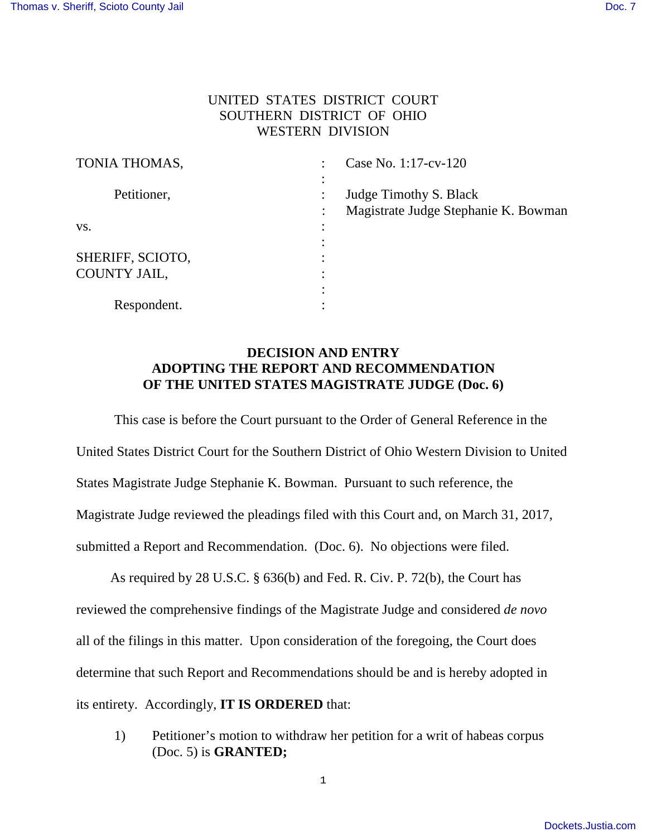## UNITED STATES DISTRICT COURT SOUTHERN DISTRICT OF OHIO WESTERN DIVISION

| TONIA THOMAS,    | $\bullet$ | Case No. 1:17-cv-120                 |
|------------------|-----------|--------------------------------------|
|                  | $\bullet$ |                                      |
| Petitioner,      |           | Judge Timothy S. Black               |
|                  |           | Magistrate Judge Stephanie K. Bowman |
| VS.              |           |                                      |
|                  | $\bullet$ |                                      |
| SHERIFF, SCIOTO, |           |                                      |
| COUNTY JAIL,     |           |                                      |
|                  |           |                                      |
| Respondent.      | ٠         |                                      |

## **DECISION AND ENTRY ADOPTING THE REPORT AND RECOMMENDATION OF THE UNITED STATES MAGISTRATE JUDGE (Doc. 6)**

This case is before the Court pursuant to the Order of General Reference in the United States District Court for the Southern District of Ohio Western Division to United States Magistrate Judge Stephanie K. Bowman. Pursuant to such reference, the Magistrate Judge reviewed the pleadings filed with this Court and, on March 31, 2017, submitted a Report and Recommendation. (Doc. 6). No objections were filed.

 As required by 28 U.S.C. § 636(b) and Fed. R. Civ. P. 72(b), the Court has reviewed the comprehensive findings of the Magistrate Judge and considered *de novo*  all of the filings in this matter. Upon consideration of the foregoing, the Court does determine that such Report and Recommendations should be and is hereby adopted in its entirety. Accordingly, **IT IS ORDERED** that:

1) Petitioner's motion to withdraw her petition for a writ of habeas corpus (Doc. 5) is **GRANTED;**